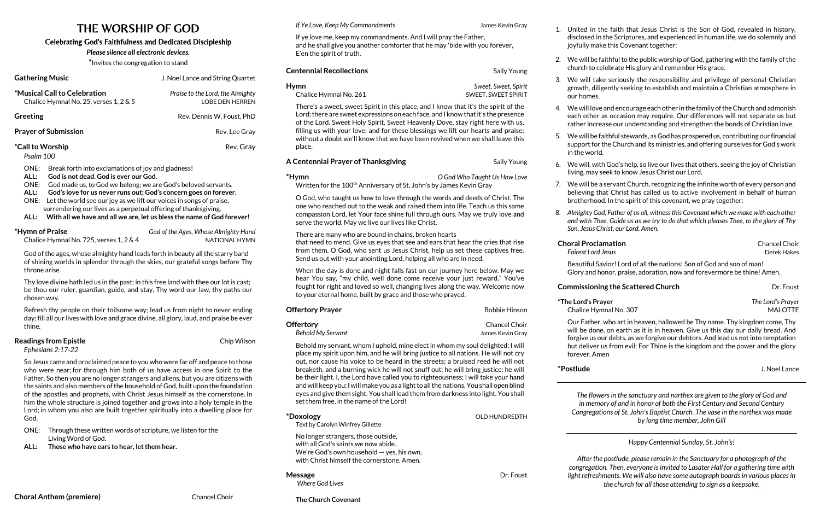# THE WORSHIP OF GOD

### Celebrating God's Faithfulness and Dedicated Discipleship

*Please silence all electronic devices.*

**\***Invites the congregation to stand

| <b>Gathering Music</b>                                                    | J. Noel Lance and String Quartet                           |
|---------------------------------------------------------------------------|------------------------------------------------------------|
| *Musical Call to Celebration<br>Chalice Hymnal No. 25, verses $1, 2 \& 5$ | Praise to the Lord, the Almighty<br><b>LOBE DEN HERREN</b> |
| Greeting                                                                  | Rev. Dennis W. Foust, PhD                                  |
| <b>Prayer of Submission</b>                                               | Rev. Lee Gray                                              |
| <i>*</i> Call to Worship<br>Psalm 100                                     | Rev. Gray                                                  |

**\*Hymn of Praise** *God of the Ages, Whose Almighty Hand* Chalice Hymnal No. 725, verses 1, 2 & 4 NATIONAL HYMN

- ONE: Break forth into exclamations of joy and gladness!
- **ALL: God is not dead. God is ever our God.**
- ONE: God made us, to God we belong; we are God's beloved servants.
- **ALL: God's love for us never runs out; God's concern goes on forever.**
- ONE: Let the world see our joy as we lift our voices in songs of praise, surrendering our lives as a perpetual offering of thanksgiving.
- **ALL: With all we have and all we are, let us bless the name of God forever!**

God of the ages, whose almighty hand leads forth in beauty all the starry band of shining worlds in splendor through the skies, our grateful songs before Thy throne arise.

Thy love divine hath led us in the past; in this free land with thee our lot is cast; be thou our ruler, guardian, guide, and stay, Thy word our law, thy paths our chosen way.

Refresh thy people on their toilsome way; lead us from night to never ending day; fill all our lives with love and grace divine, all glory, laud, and praise be ever thine.

### **Readings from Epistle Chip Wilson Chip Wilson**

*Ephesians 2:17-22*

So Jesus came and proclaimed peace to you who were far off and peace to those who were near; for through him both of us have access in one Spirit to the Father. So then you are no longer strangers and aliens, but you are citizens with the saints and also members of the household of God, built upon the foundation of the apostles and prophets, with Christ Jesus himself as the cornerstone. In him the whole structure is joined together and grows into a holy temple in the Lord; in whom you also are built together spiritually into a dwelling place for God.

- ONE: Through these written words of scripture, we listen for the Living Word of God.
- **ALL: Those who have ears to hear, let them hear.**

#### *If Ye Love, Keep My Commandments* James Kevin Gray

If ye love me, keep my commandments. And I will pray the Father, and he shall give you another comforter that he may 'bide with you forever, E'en the spirit of truth.

# **Centennial Recollections Centennial Recollections**

#### **Message** Dr. Foust *Where God Lives*

| Hymn                   | Sweet, Sweet, Spirit |  |
|------------------------|----------------------|--|
| Chalice Hymnal No. 261 | SWEET, SWEET SPIRIT  |  |

There's a sweet, sweet Spirit in this place, and I know that it's the spirit of the Lord; there are sweet expressions on each face, and I know that it's the presence of the Lord. Sweet Holy Spirit, Sweet Heavenly Dove, stay right here with us, filling us with your love; and for these blessings we lift our hearts and praise; without a doubt we'll know that we have been revived when we shall leave this place.

### **A Centennial Prayer of Thanksgiving Sally Young Sally Young**

**\*Hymn** *O God Who Taught Us How Love* 

Written for the 100th Anniversary of St. John's by James Kevin Gray

O God, who taught us how to love through the words and deeds of Christ. The one who reached out to the weak and raised them into life. Teach us this same compassion Lord, let Your face shine full through ours. May we truly love and serve the world. May we live our lives like Christ.

> **\*The Lord's Prayer** *The Lord's Prayer* Chalice Hymnal No. 307 MALOTTE

There are many who are bound in chains, broken hearts

that need to mend. Give us eyes that see and ears that hear the cries that rise from them. O God, who sent us Jesus Christ, help us set these captives free. Send us out with your anointing Lord, helping all who are in need.

When the day is done and night falls fast on our journey here below. May we hear You say, "my child, well done come receive your just reward." You've fought for right and loved so well, changing lives along the way. Welcome now to your eternal home, built by grace and those who prayed.

| <b>Offertory Prayer</b>                                                                                                                                                                                                                                                                                                                                                                                                                                                                                                                                                                                                                                         | <b>Bobbie Hinson</b>              |
|-----------------------------------------------------------------------------------------------------------------------------------------------------------------------------------------------------------------------------------------------------------------------------------------------------------------------------------------------------------------------------------------------------------------------------------------------------------------------------------------------------------------------------------------------------------------------------------------------------------------------------------------------------------------|-----------------------------------|
| Offertory<br>Behold My Servant                                                                                                                                                                                                                                                                                                                                                                                                                                                                                                                                                                                                                                  | Chancel Choir<br>James Kevin Gray |
| Behold my servant, whom I uphold, mine elect in whom my soul delighted; I will<br>place my spirit upon him, and he will bring justice to all nations. He will not cry<br>out, nor cause his voice to be heard in the streets; a bruised reed he will not<br>breaketh, and a burning wick he will not snuff out; he will bring justice; he will<br>be their light. I, the Lord have called you to righteousness; I will take your hand<br>and will keep you; I will make you as a light to all the nations. You shall open blind<br>eyes and give them sight. You shall lead them from darkness into light. You shall<br>set them free, in the name of the Lord! |                                   |
| *Doxology<br>Text by Carolyn Winfrey Gillette                                                                                                                                                                                                                                                                                                                                                                                                                                                                                                                                                                                                                   | OLD HUNDREDTH                     |
| No longer strangers, those outside,<br>with all God's saints we now abide.                                                                                                                                                                                                                                                                                                                                                                                                                                                                                                                                                                                      |                                   |

with all God's saints we now abide. We're God's own household — yes, his own, with Christ himself the cornerstone. Amen.

**The Church Covenant**

1. United in the faith that Jesus Christ is the Son of God, revealed in history, disclosed in the Scriptures, and experienced in human life, we do solemnly and joyfully make this Covenant together:

2. We will be faithful to the public worship of God, gathering with the family of the church to celebrate His glory and remember His grace.

3. We will take seriously the responsibility and privilege of personal Christian growth, diligently seeking to establish and maintain a Christian atmosphere in

4. We will love and encourage each other in the family of the Church and admonish each other as occasion may require. Our differences will not separate us but rather increase our understanding and strengthen the bonds of Christian love.

- 
- our homes.
- 
- in the world.
- 
- 
- 

5. We will be faithful stewards, as God has prospered us, contributing our financial support for the Church and its ministries, and offering ourselves for God's work

6. We will, with God's help, so live our lives that others, seeing the joy of Christian living, may seek to know Jesus Christ our Lord.

7. We will be a servant Church, recognizing the infinite worth of every person and believing that Christ has called us to active involvement in behalf of human brotherhood. In the spirit of this covenant, we pray together:

8. *Almighty God, Father of us all, witness this Covenant which we make with each other and with Thee. Guide us as we try to do that which pleases Thee, to the glory of Thy Son, Jesus Christ, our Lord. Amen.*

# **Choral Proclamation** Chancel Choir

## **Commissioning the Scattered Church** Demonstration of the Dr. Foust

*Fairest Lord Jesus* Derek Hakes

Beautiful Savior! Lord of all the nations! Son of God and son of man! Glory and honor, praise, adoration, now and forevermore be thine! Amen.

Our Father, who art in heaven, hallowed be Thy name. Thy kingdom come, Thy will be done, on earth as it is in heaven. Give us this day our daily bread. And forgive us our debts, as we forgive our debtors. And lead us not into temptation but deliver us from evil: For Thine is the kingdom and the power and the glory

forever. Amen

**\*Postlude** J. Noel Lance

*The flowers in the sanctuary and narthex are given to the glory of God and in memory of and in honor of both the First Century and Second Century Congregations of St. John's Baptist Church. The vase in the narthex was made by long time member, John Gill*

*Happy Centennial Sunday, St. John's!*

*After the postlude, please remain in the Sanctuary for a photograph of the congregation. Then, everyone is invited to Lasater Hall for a gathering time with*  light refreshments. We will also have some autograph boards in various places in *the church for all those attending to sign as a keepsake.*